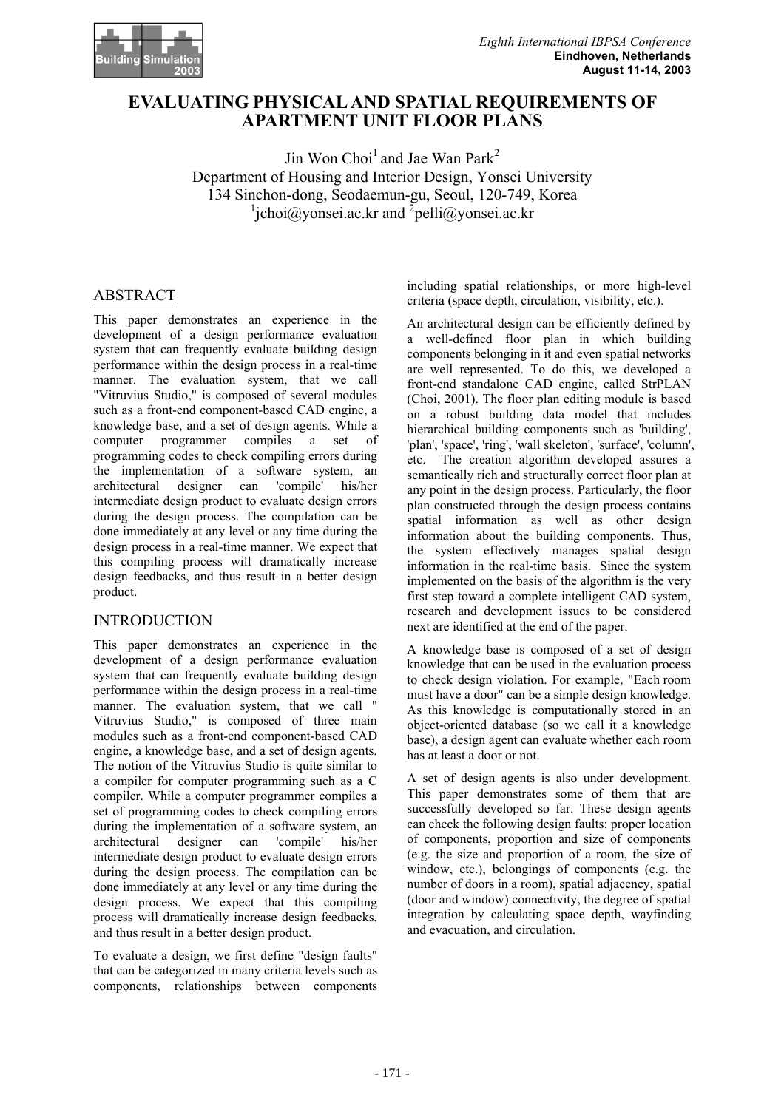

# **EVALUATING PHYSICAL AND SPATIAL REQUIREMENTS OF APARTMENT UNIT FLOOR PLANS**

Jin Won Choi<sup>1</sup> and Jae Wan Park<sup>2</sup> Department of Housing and Interior Design, Yonsei University 134 Sinchon-dong, Seodaemun-gu, Seoul, 120-749, Korea  $\frac{1}{2}$ jchoi@yonsei.ac.kr and  $\frac{2}{2}$ pelli@yonsei.ac.kr

# ABSTRACT

This paper demonstrates an experience in the development of a design performance evaluation system that can frequently evaluate building design performance within the design process in a real-time manner. The evaluation system, that we call "Vitruvius Studio," is composed of several modules such as a front-end component-based CAD engine, a knowledge base, and a set of design agents. While a computer programmer compiles a set of programming codes to check compiling errors during the implementation of a software system, an architectural designer can 'compile' his/her intermediate design product to evaluate design errors during the design process. The compilation can be done immediately at any level or any time during the design process in a real-time manner. We expect that this compiling process will dramatically increase design feedbacks, and thus result in a better design product.

## **INTRODUCTION**

This paper demonstrates an experience in the development of a design performance evaluation system that can frequently evaluate building design performance within the design process in a real-time manner. The evaluation system, that we call " Vitruvius Studio," is composed of three main modules such as a front-end component-based CAD engine, a knowledge base, and a set of design agents. The notion of the Vitruvius Studio is quite similar to a compiler for computer programming such as a C compiler. While a computer programmer compiles a set of programming codes to check compiling errors during the implementation of a software system, an architectural designer can 'compile' his/her intermediate design product to evaluate design errors during the design process. The compilation can be done immediately at any level or any time during the design process. We expect that this compiling process will dramatically increase design feedbacks, and thus result in a better design product.

To evaluate a design, we first define "design faults" that can be categorized in many criteria levels such as components, relationships between components

including spatial relationships, or more high-level criteria (space depth, circulation, visibility, etc.).

An architectural design can be efficiently defined by a well-defined floor plan in which building components belonging in it and even spatial networks are well represented. To do this, we developed a front-end standalone CAD engine, called StrPLAN (Choi, 2001). The floor plan editing module is based on a robust building data model that includes hierarchical building components such as 'building', 'plan', 'space', 'ring', 'wall skeleton', 'surface', 'column', etc. The creation algorithm developed assures a semantically rich and structurally correct floor plan at any point in the design process. Particularly, the floor plan constructed through the design process contains spatial information as well as other design information about the building components. Thus, the system effectively manages spatial design information in the real-time basis. Since the system implemented on the basis of the algorithm is the very first step toward a complete intelligent CAD system, research and development issues to be considered next are identified at the end of the paper.

A knowledge base is composed of a set of design knowledge that can be used in the evaluation process to check design violation. For example, "Each room must have a door" can be a simple design knowledge. As this knowledge is computationally stored in an object-oriented database (so we call it a knowledge base), a design agent can evaluate whether each room has at least a door or not.

A set of design agents is also under development. This paper demonstrates some of them that are successfully developed so far. These design agents can check the following design faults: proper location of components, proportion and size of components (e.g. the size and proportion of a room, the size of window, etc.), belongings of components (e.g. the number of doors in a room), spatial adjacency, spatial (door and window) connectivity, the degree of spatial integration by calculating space depth, wayfinding and evacuation, and circulation.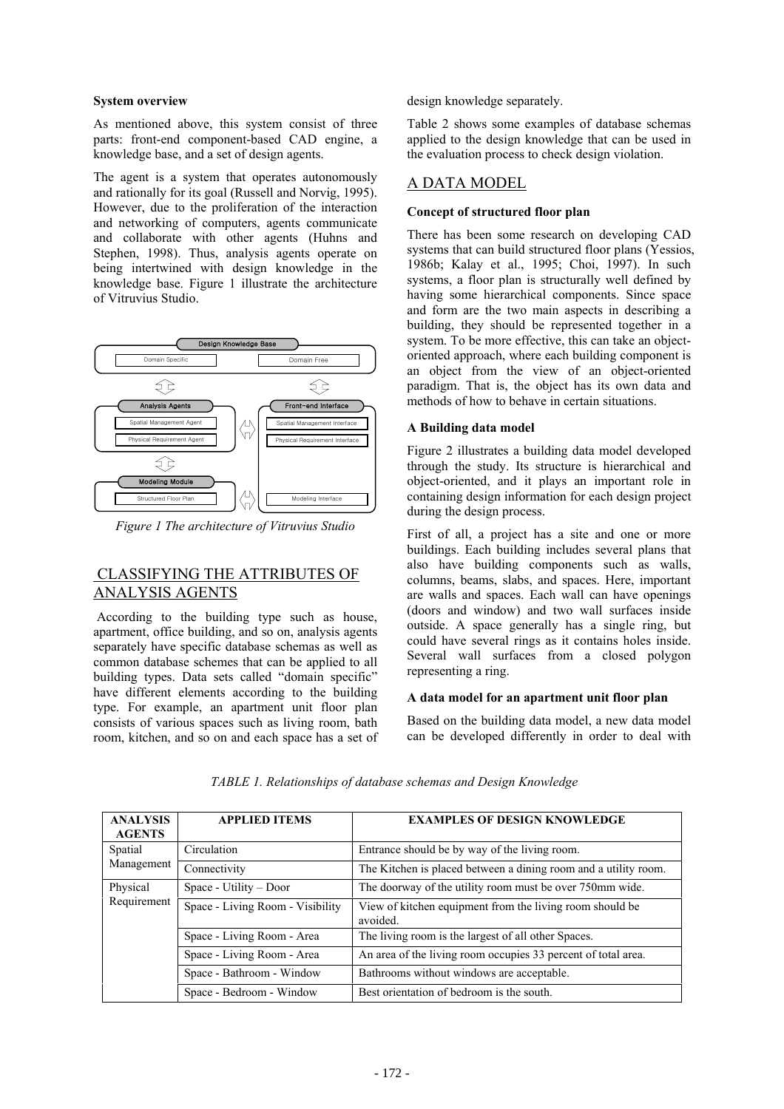#### **System overview**

As mentioned above, this system consist of three parts: front-end component-based CAD engine, a knowledge base, and a set of design agents.

The agent is a system that operates autonomously and rationally for its goal (Russell and Norvig, 1995). However, due to the proliferation of the interaction and networking of computers, agents communicate and collaborate with other agents (Huhns and Stephen, 1998). Thus, analysis agents operate on being intertwined with design knowledge in the knowledge base. Figure 1 illustrate the architecture of Vitruvius Studio.



*Figure 1 The architecture of Vitruvius Studio* 

## CLASSIFYING THE ATTRIBUTES OF ANALYSIS AGENTS

According to the building type such as house, apartment, office building, and so on, analysis agents separately have specific database schemas as well as common database schemes that can be applied to all building types. Data sets called "domain specific" have different elements according to the building type. For example, an apartment unit floor plan consists of various spaces such as living room, bath room, kitchen, and so on and each space has a set of design knowledge separately.

Table 2 shows some examples of database schemas applied to the design knowledge that can be used in the evaluation process to check design violation.

### A DATA MODEL

#### **Concept of structured floor plan**

There has been some research on developing CAD systems that can build structured floor plans (Yessios, 1986b; Kalay et al., 1995; Choi, 1997). In such systems, a floor plan is structurally well defined by having some hierarchical components. Since space and form are the two main aspects in describing a building, they should be represented together in a system. To be more effective, this can take an objectoriented approach, where each building component is an object from the view of an object-oriented paradigm. That is, the object has its own data and methods of how to behave in certain situations.

#### **A Building data model**

Figure 2 illustrates a building data model developed through the study. Its structure is hierarchical and object-oriented, and it plays an important role in containing design information for each design project during the design process.

First of all, a project has a site and one or more buildings. Each building includes several plans that also have building components such as walls, columns, beams, slabs, and spaces. Here, important are walls and spaces. Each wall can have openings (doors and window) and two wall surfaces inside outside. A space generally has a single ring, but could have several rings as it contains holes inside. Several wall surfaces from a closed polygon representing a ring.

#### **A data model for an apartment unit floor plan**

Based on the building data model, a new data model can be developed differently in order to deal with

| <b>ANALYSIS</b><br><b>AGENTS</b> | <b>APPLIED ITEMS</b>             | <b>EXAMPLES OF DESIGN KNOWLEDGE</b>                                  |  |
|----------------------------------|----------------------------------|----------------------------------------------------------------------|--|
| Spatial<br>Management            | Circulation                      | Entrance should be by way of the living room.                        |  |
|                                  | Connectivity                     | The Kitchen is placed between a dining room and a utility room.      |  |
| Physical<br>Requirement          | Space - Utility – Door           | The doorway of the utility room must be over 750mm wide.             |  |
|                                  | Space - Living Room - Visibility | View of kitchen equipment from the living room should be<br>avoided. |  |
|                                  | Space - Living Room - Area       | The living room is the largest of all other Spaces.                  |  |
|                                  | Space - Living Room - Area       | An area of the living room occupies 33 percent of total area.        |  |
|                                  | Space - Bathroom - Window        | Bathrooms without windows are acceptable.                            |  |
|                                  | Space - Bedroom - Window         | Best orientation of bedroom is the south.                            |  |

*TABLE 1. Relationships of database schemas and Design Knowledge*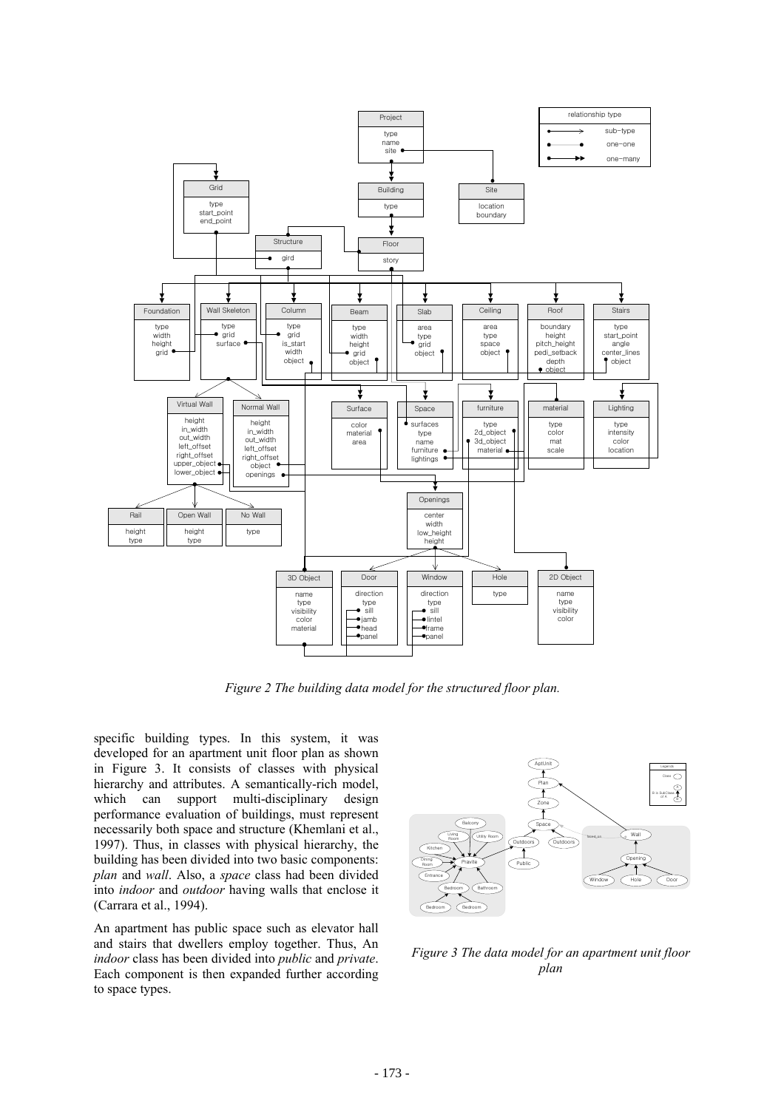

*Figure 2 The building data model for the structured floor plan.* 

specific building types. In this system, it was developed for an apartment unit floor plan as shown in Figure 3. It consists of classes with physical hierarchy and attributes. A semantically-rich model, which can support multi-disciplinary design performance evaluation of buildings, must represent necessarily both space and structure (Khemlani et al., 1997). Thus, in classes with physical hierarchy, the building has been divided into two basic components: *plan* and *wall*. Also, a *space* class had been divided into *indoor* and *outdoor* having walls that enclose it (Carrara et al., 1994).

An apartment has public space such as elevator hall and stairs that dwellers employ together. Thus, An *indoor* class has been divided into *public* and *private*. Each component is then expanded further according to space types.



*Figure 3 The data model for an apartment unit floor plan*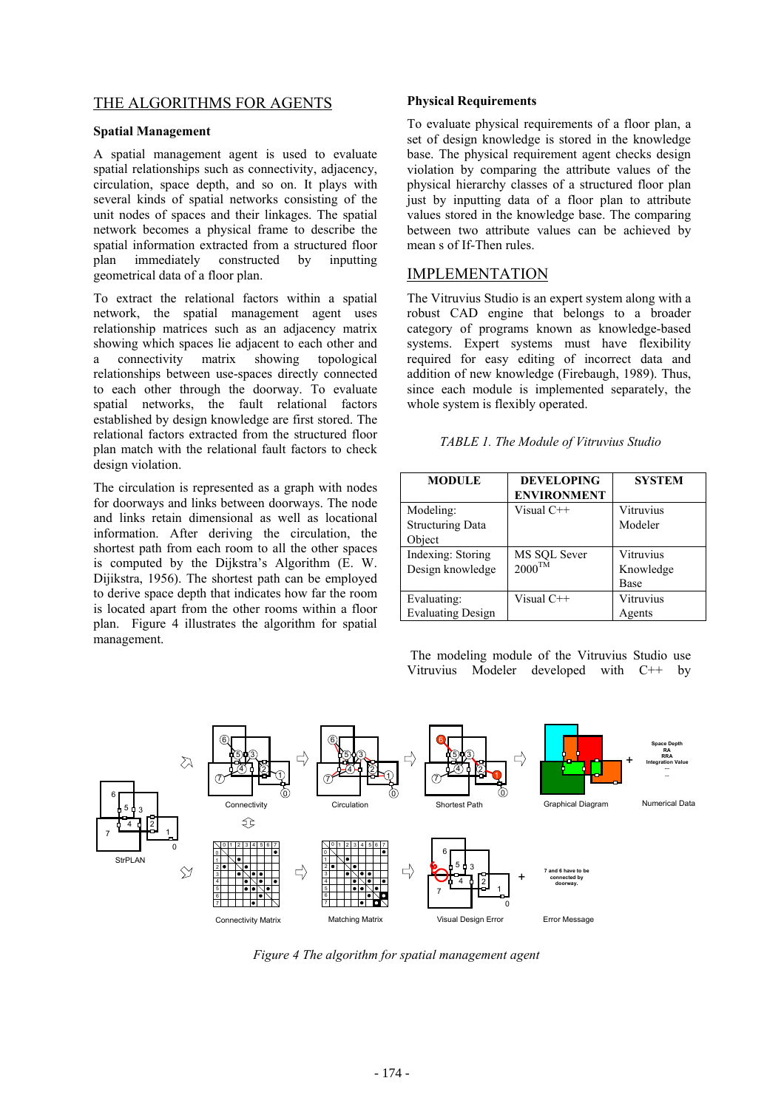## THE ALGORITHMS FOR AGENTS

#### **Spatial Management**

A spatial management agent is used to evaluate spatial relationships such as connectivity, adjacency, circulation, space depth, and so on. It plays with several kinds of spatial networks consisting of the unit nodes of spaces and their linkages. The spatial network becomes a physical frame to describe the spatial information extracted from a structured floor plan immediately constructed by inputting geometrical data of a floor plan.

To extract the relational factors within a spatial network, the spatial management agent uses relationship matrices such as an adjacency matrix showing which spaces lie adjacent to each other and a connectivity matrix showing topological relationships between use-spaces directly connected to each other through the doorway. To evaluate spatial networks, the fault relational factors established by design knowledge are first stored. The relational factors extracted from the structured floor plan match with the relational fault factors to check design violation.

The circulation is represented as a graph with nodes for doorways and links between doorways. The node and links retain dimensional as well as locational information. After deriving the circulation, the shortest path from each room to all the other spaces is computed by the Dijkstra's Algorithm (E. W. Dijikstra, 1956). The shortest path can be employed to derive space depth that indicates how far the room is located apart from the other rooms within a floor plan. Figure 4 illustrates the algorithm for spatial management.

#### **Physical Requirements**

To evaluate physical requirements of a floor plan, a set of design knowledge is stored in the knowledge base. The physical requirement agent checks design violation by comparing the attribute values of the physical hierarchy classes of a structured floor plan just by inputting data of a floor plan to attribute values stored in the knowledge base. The comparing between two attribute values can be achieved by mean s of If-Then rules.

### IMPLEMENTATION

The Vitruvius Studio is an expert system along with a robust CAD engine that belongs to a broader category of programs known as knowledge-based systems. Expert systems must have flexibility required for easy editing of incorrect data and addition of new knowledge (Firebaugh, 1989). Thus, since each module is implemented separately, the whole system is flexibly operated.

| MODULE                                         | <b>DEVELOPING</b><br><b>ENVIRONMENT</b> | <b>SYSTEM</b>                  |
|------------------------------------------------|-----------------------------------------|--------------------------------|
| Modeling:<br><b>Structuring Data</b><br>Object | Visual C++                              | Vitruvius<br>Modeler           |
| Indexing: Storing<br>Design knowledge          | MS SQL Sever<br>$2000^{\text{TM}}$      | Vitruvius<br>Knowledge<br>Base |
| Evaluating:<br><b>Evaluating Design</b>        | Visual $C++$                            | Vitruvius<br>Agents            |

The modeling module of the Vitruvius Studio use Vitruvius Modeler developed with C++ by



*Figure 4 The algorithm for spatial management agent*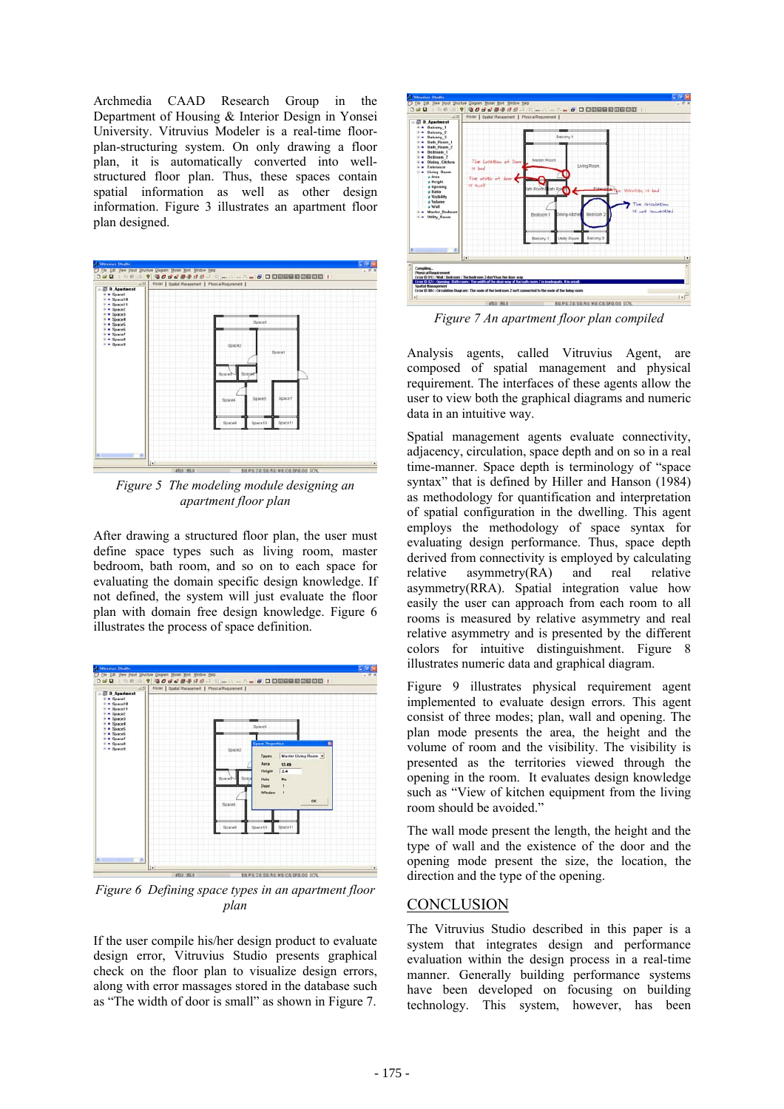Archmedia CAAD Research Group in the Department of Housing & Interior Design in Yonsei University. Vitruvius Modeler is a real-time floorplan-structuring system. On only drawing a floor plan, it is automatically converted into wellstructured floor plan. Thus, these spaces contain spatial information as well as other design information. Figure 3 illustrates an apartment floor plan designed.



*Figure 5 The modeling module designing an apartment floor plan* 

After drawing a structured floor plan, the user must define space types such as living room, master bedroom, bath room, and so on to each space for evaluating the domain specific design knowledge. If not defined, the system will just evaluate the floor plan with domain free design knowledge. Figure 6 illustrates the process of space definition.



*Figure 6 Defining space types in an apartment floor plan* 

If the user compile his/her design product to evaluate design error, Vitruvius Studio presents graphical check on the floor plan to visualize design errors, along with error massages stored in the database such as "The width of door is small" as shown in Figure 7.



*Figure 7 An apartment floor plan compiled* 

Analysis agents, called Vitruvius Agent, are composed of spatial management and physical requirement. The interfaces of these agents allow the user to view both the graphical diagrams and numeric data in an intuitive way.

Spatial management agents evaluate connectivity, adjacency, circulation, space depth and on so in a real time-manner. Space depth is terminology of "space syntax" that is defined by Hiller and Hanson (1984) as methodology for quantification and interpretation of spatial configuration in the dwelling. This agent employs the methodology of space syntax for evaluating design performance. Thus, space depth derived from connectivity is employed by calculating relative asymmetry(RA) and real relative asymmetry(RRA). Spatial integration value how easily the user can approach from each room to all rooms is measured by relative asymmetry and real relative asymmetry and is presented by the different colors for intuitive distinguishment. Figure 8 illustrates numeric data and graphical diagram.

Figure 9 illustrates physical requirement agent implemented to evaluate design errors. This agent consist of three modes; plan, wall and opening. The plan mode presents the area, the height and the volume of room and the visibility. The visibility is presented as the territories viewed through the opening in the room. It evaluates design knowledge such as "View of kitchen equipment from the living room should be avoided."

The wall mode present the length, the height and the type of wall and the existence of the door and the opening mode present the size, the location, the direction and the type of the opening.

## **CONCLUSION**

The Vitruvius Studio described in this paper is a system that integrates design and performance evaluation within the design process in a real-time manner. Generally building performance systems have been developed on focusing on building technology. This system, however, has been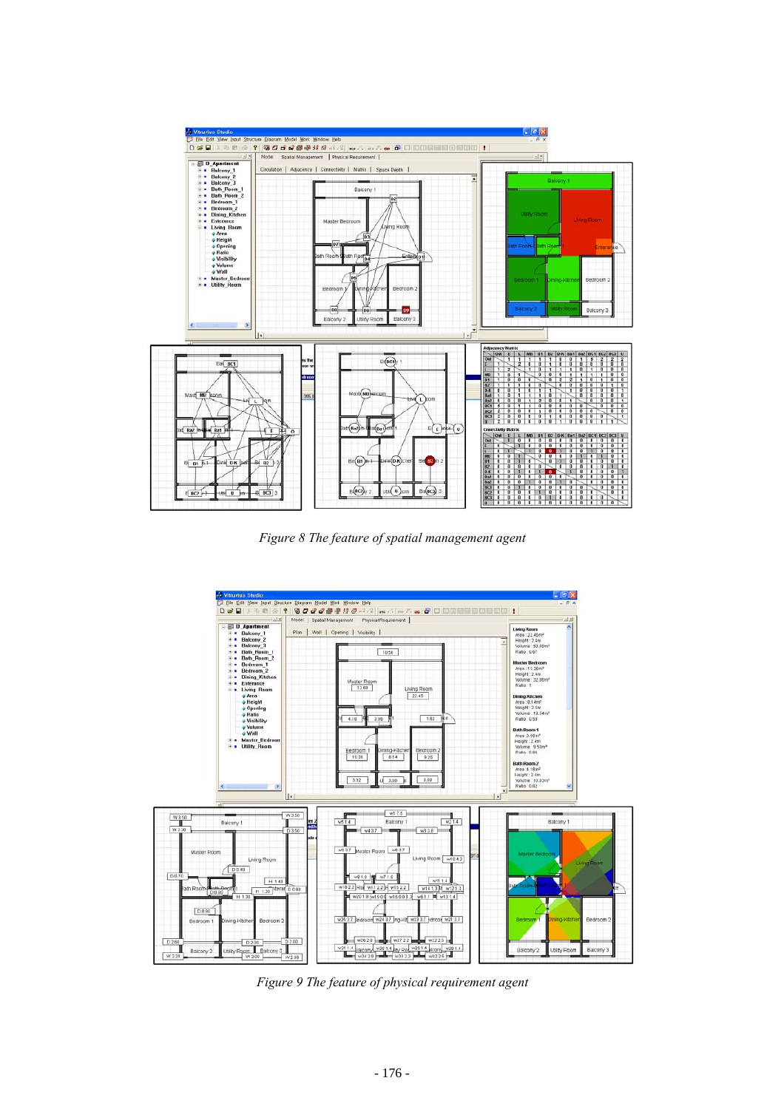

*Figure 8 The feature of spatial management agent*



*Figure 9 The feature of physical requirement agent*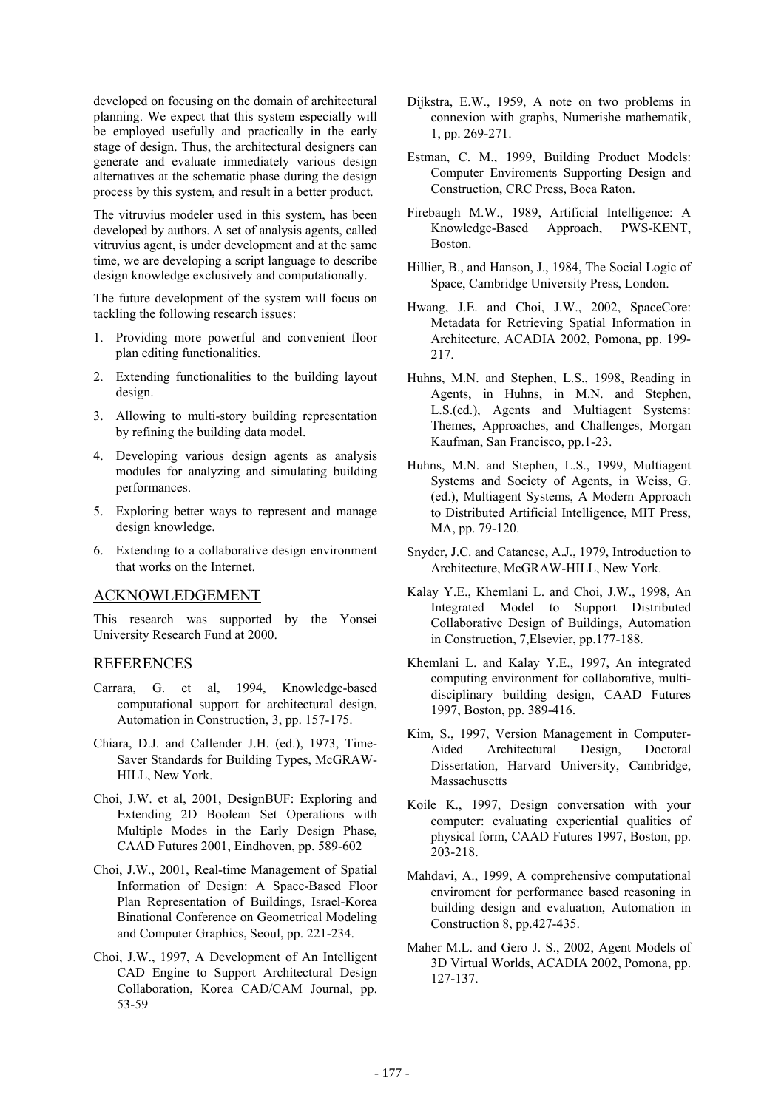developed on focusing on the domain of architectural planning. We expect that this system especially will be employed usefully and practically in the early stage of design. Thus, the architectural designers can generate and evaluate immediately various design alternatives at the schematic phase during the design process by this system, and result in a better product.

The vitruvius modeler used in this system, has been developed by authors. A set of analysis agents, called vitruvius agent, is under development and at the same time, we are developing a script language to describe design knowledge exclusively and computationally.

The future development of the system will focus on tackling the following research issues:

- 1. Providing more powerful and convenient floor plan editing functionalities.
- 2. Extending functionalities to the building layout design.
- 3. Allowing to multi-story building representation by refining the building data model.
- 4. Developing various design agents as analysis modules for analyzing and simulating building performances.
- 5. Exploring better ways to represent and manage design knowledge.
- 6. Extending to a collaborative design environment that works on the Internet.

### ACKNOWLEDGEMENT

This research was supported by the Yonsei University Research Fund at 2000.

## REFERENCES

- Carrara, G. et al, 1994, Knowledge-based computational support for architectural design, Automation in Construction, 3, pp. 157-175.
- Chiara, D.J. and Callender J.H. (ed.), 1973, Time-Saver Standards for Building Types, McGRAW-HILL, New York.
- Choi, J.W. et al, 2001, DesignBUF: Exploring and Extending 2D Boolean Set Operations with Multiple Modes in the Early Design Phase, CAAD Futures 2001, Eindhoven, pp. 589-602
- Choi, J.W., 2001, Real-time Management of Spatial Information of Design: A Space-Based Floor Plan Representation of Buildings, Israel-Korea Binational Conference on Geometrical Modeling and Computer Graphics, Seoul, pp. 221-234.
- Choi, J.W., 1997, A Development of An Intelligent CAD Engine to Support Architectural Design Collaboration, Korea CAD/CAM Journal, pp. 53-59
- Dijkstra, E.W., 1959, A note on two problems in connexion with graphs, Numerishe mathematik, 1, pp. 269-271.
- Estman, C. M., 1999, Building Product Models: Computer Enviroments Supporting Design and Construction, CRC Press, Boca Raton.
- Firebaugh M.W., 1989, Artificial Intelligence: A Knowledge-Based Approach, PWS-KENT, Boston.
- Hillier, B., and Hanson, J., 1984, The Social Logic of Space, Cambridge University Press, London.
- Hwang, J.E. and Choi, J.W., 2002, SpaceCore: Metadata for Retrieving Spatial Information in Architecture, ACADIA 2002, Pomona, pp. 199- 217.
- Huhns, M.N. and Stephen, L.S., 1998, Reading in Agents, in Huhns, in M.N. and Stephen, L.S.(ed.), Agents and Multiagent Systems: Themes, Approaches, and Challenges, Morgan Kaufman, San Francisco, pp.1-23.
- Huhns, M.N. and Stephen, L.S., 1999, Multiagent Systems and Society of Agents, in Weiss, G. (ed.), Multiagent Systems, A Modern Approach to Distributed Artificial Intelligence, MIT Press, MA, pp. 79-120.
- Snyder, J.C. and Catanese, A.J., 1979, Introduction to Architecture, McGRAW-HILL, New York.
- Kalay Y.E., Khemlani L. and Choi, J.W., 1998, An Integrated Model to Support Distributed Collaborative Design of Buildings, Automation in Construction, 7,Elsevier, pp.177-188.
- Khemlani L. and Kalay Y.E., 1997, An integrated computing environment for collaborative, multidisciplinary building design, CAAD Futures 1997, Boston, pp. 389-416.
- Kim, S., 1997, Version Management in Computer-Aided Architectural Design, Doctoral Dissertation, Harvard University, Cambridge, Massachusetts
- Koile K., 1997, Design conversation with your computer: evaluating experiential qualities of physical form, CAAD Futures 1997, Boston, pp. 203-218.
- Mahdavi, A., 1999, A comprehensive computational enviroment for performance based reasoning in building design and evaluation, Automation in Construction 8, pp.427-435.
- Maher M.L. and Gero J. S., 2002, Agent Models of 3D Virtual Worlds, ACADIA 2002, Pomona, pp. 127-137.